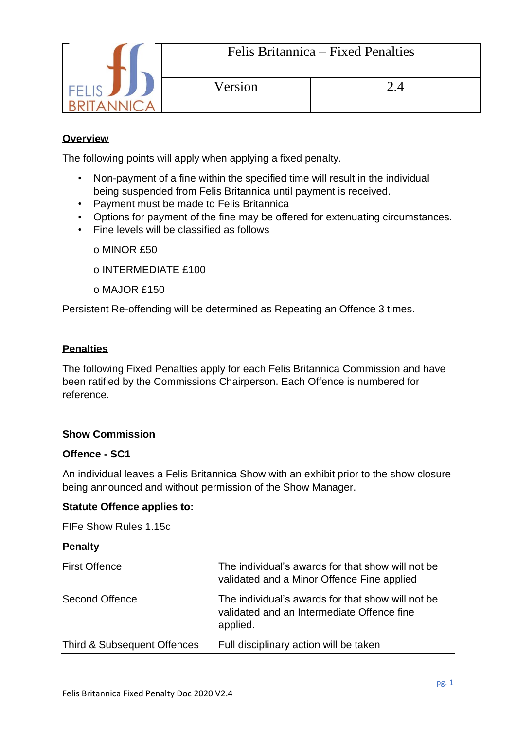

## **Overview**

The following points will apply when applying a fixed penalty.

- Non-payment of a fine within the specified time will result in the individual being suspended from Felis Britannica until payment is received.
- Payment must be made to Felis Britannica
- Options for payment of the fine may be offered for extenuating circumstances.
- Fine levels will be classified as follows
	- o MINOR £50
	- o INTERMEDIATE £100
	- o MAJOR £150

Persistent Re-offending will be determined as Repeating an Offence 3 times.

# **Penalties**

The following Fixed Penalties apply for each Felis Britannica Commission and have been ratified by the Commissions Chairperson. Each Offence is numbered for reference.

## **Show Commission**

## **Offence - SC1**

An individual leaves a Felis Britannica Show with an exhibit prior to the show closure being announced and without permission of the Show Manager.

## **Statute Offence applies to:**

FIFe Show Rules 1.15c

## **Penalty**

| <b>First Offence</b>        | The individual's awards for that show will not be<br>validated and a Minor Offence Fine applied             |
|-----------------------------|-------------------------------------------------------------------------------------------------------------|
| Second Offence              | The individual's awards for that show will not be<br>validated and an Intermediate Offence fine<br>applied. |
| Third & Subsequent Offences | Full disciplinary action will be taken                                                                      |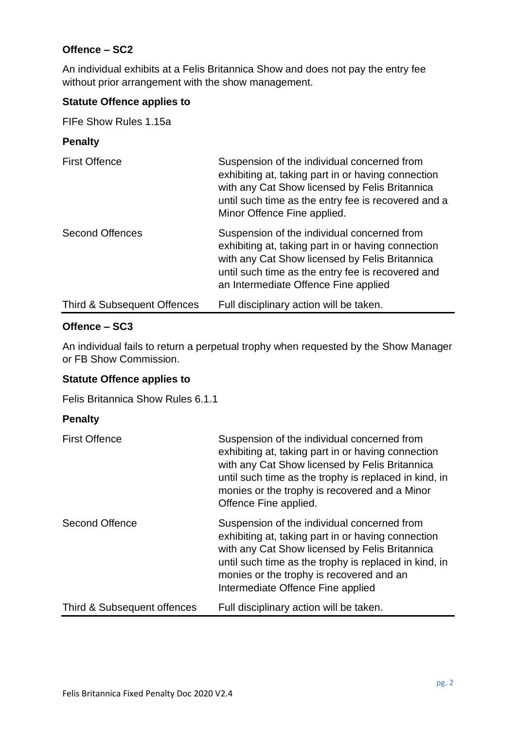## **Offence – SC2**

**Penalty**

An individual exhibits at a Felis Britannica Show and does not pay the entry fee without prior arrangement with the show management.

## **Statute Offence applies to**

FIFe Show Rules 1.15a

| <u>Γ σπαιτγ</u>             |                                                                                                                                                                                                                                                  |
|-----------------------------|--------------------------------------------------------------------------------------------------------------------------------------------------------------------------------------------------------------------------------------------------|
| <b>First Offence</b>        | Suspension of the individual concerned from<br>exhibiting at, taking part in or having connection<br>with any Cat Show licensed by Felis Britannica<br>until such time as the entry fee is recovered and a<br>Minor Offence Fine applied.        |
| <b>Second Offences</b>      | Suspension of the individual concerned from<br>exhibiting at, taking part in or having connection<br>with any Cat Show licensed by Felis Britannica<br>until such time as the entry fee is recovered and<br>an Intermediate Offence Fine applied |
| Third & Subsequent Offences | Full disciplinary action will be taken.                                                                                                                                                                                                          |

## **Offence – SC3**

An individual fails to return a perpetual trophy when requested by the Show Manager or FB Show Commission.

#### **Statute Offence applies to**

Felis Britannica Show Rules 6.1.1

## **Penalty**

| <b>First Offence</b>        | Suspension of the individual concerned from<br>exhibiting at, taking part in or having connection<br>with any Cat Show licensed by Felis Britannica<br>until such time as the trophy is replaced in kind, in<br>monies or the trophy is recovered and a Minor<br>Offence Fine applied.        |
|-----------------------------|-----------------------------------------------------------------------------------------------------------------------------------------------------------------------------------------------------------------------------------------------------------------------------------------------|
| Second Offence              | Suspension of the individual concerned from<br>exhibiting at, taking part in or having connection<br>with any Cat Show licensed by Felis Britannica<br>until such time as the trophy is replaced in kind, in<br>monies or the trophy is recovered and an<br>Intermediate Offence Fine applied |
| Third & Subsequent offences | Full disciplinary action will be taken.                                                                                                                                                                                                                                                       |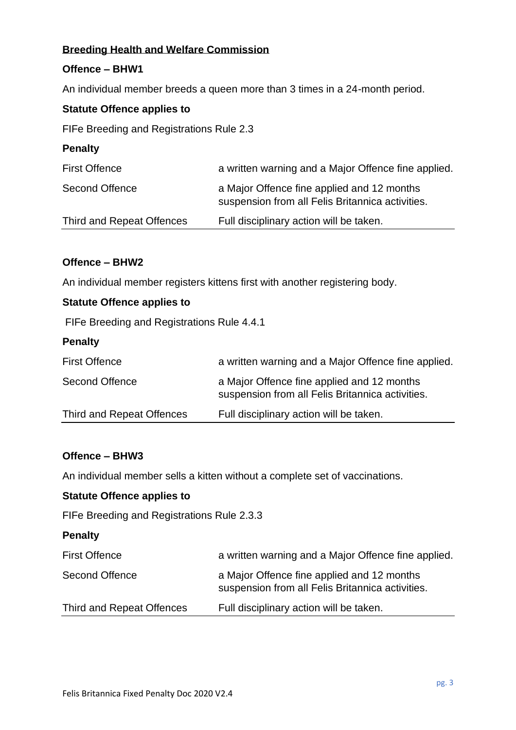## **Breeding Health and Welfare Commission**

## **Offence – BHW1**

An individual member breeds a queen more than 3 times in a 24-month period.

### **Statute Offence applies to**

FIFe Breeding and Registrations Rule 2.3

| <b>Penalty</b>            |                                                                                                |
|---------------------------|------------------------------------------------------------------------------------------------|
| <b>First Offence</b>      | a written warning and a Major Offence fine applied.                                            |
| <b>Second Offence</b>     | a Major Offence fine applied and 12 months<br>suspension from all Felis Britannica activities. |
| Third and Repeat Offences | Full disciplinary action will be taken.                                                        |

## **Offence – BHW2**

An individual member registers kittens first with another registering body.

## **Statute Offence applies to**

FIFe Breeding and Registrations Rule 4.4.1

#### **Penalty**

| <b>First Offence</b>      | a written warning and a Major Offence fine applied.                                            |
|---------------------------|------------------------------------------------------------------------------------------------|
| Second Offence            | a Major Offence fine applied and 12 months<br>suspension from all Felis Britannica activities. |
| Third and Repeat Offences | Full disciplinary action will be taken.                                                        |

### **Offence – BHW3**

An individual member sells a kitten without a complete set of vaccinations.

#### **Statute Offence applies to**

FIFe Breeding and Registrations Rule 2.3.3

## **Penalty**

| <b>First Offence</b>      | a written warning and a Major Offence fine applied.                                            |
|---------------------------|------------------------------------------------------------------------------------------------|
| Second Offence            | a Major Offence fine applied and 12 months<br>suspension from all Felis Britannica activities. |
| Third and Repeat Offences | Full disciplinary action will be taken.                                                        |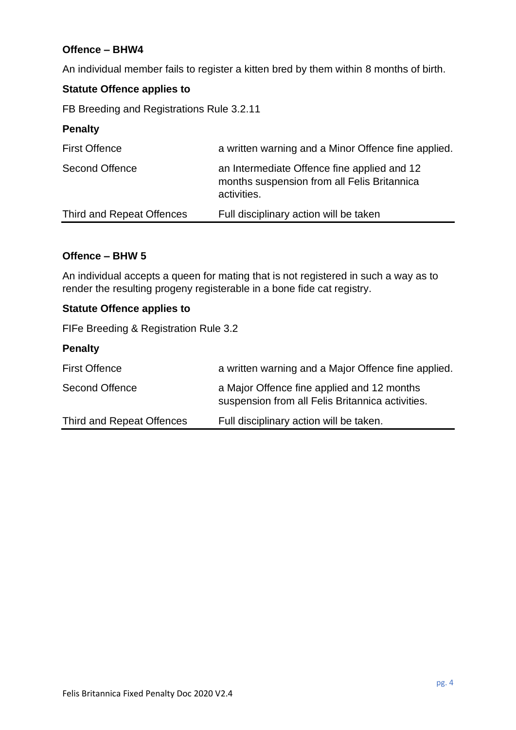## **Offence – BHW4**

An individual member fails to register a kitten bred by them within 8 months of birth.

# **Statute Offence applies to**

FB Breeding and Registrations Rule 3.2.11

### **Penalty**

| <b>First Offence</b>      | a written warning and a Minor Offence fine applied.                                                       |
|---------------------------|-----------------------------------------------------------------------------------------------------------|
| Second Offence            | an Intermediate Offence fine applied and 12<br>months suspension from all Felis Britannica<br>activities. |
| Third and Repeat Offences | Full disciplinary action will be taken                                                                    |

### **Offence – BHW 5**

An individual accepts a queen for mating that is not registered in such a way as to render the resulting progeny registerable in a bone fide cat registry.

## **Statute Offence applies to**

FIFe Breeding & Registration Rule 3.2

| <b>Penalty</b> |  |
|----------------|--|
|----------------|--|

| <b>First Offence</b>      | a written warning and a Major Offence fine applied.                                            |
|---------------------------|------------------------------------------------------------------------------------------------|
| Second Offence            | a Major Offence fine applied and 12 months<br>suspension from all Felis Britannica activities. |
| Third and Repeat Offences | Full disciplinary action will be taken.                                                        |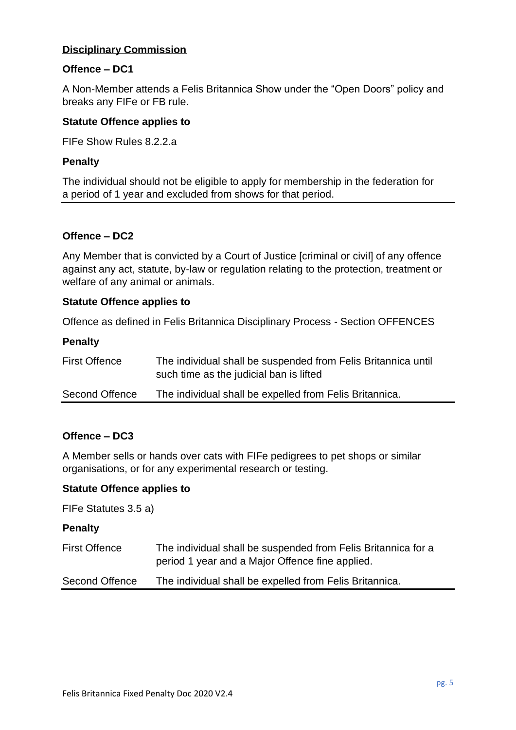## **Disciplinary Commission**

## **Offence – DC1**

A Non-Member attends a Felis Britannica Show under the "Open Doors" policy and breaks any FIFe or FB rule.

### **Statute Offence applies to**

FIFe Show Rules 8.2.2.a

### **Penalty**

The individual should not be eligible to apply for membership in the federation for a period of 1 year and excluded from shows for that period.

### **Offence – DC2**

Any Member that is convicted by a Court of Justice [criminal or civil] of any offence against any act, statute, by-law or regulation relating to the protection, treatment or welfare of any animal or animals.

### **Statute Offence applies to**

Offence as defined in Felis Britannica Disciplinary Process - Section OFFENCES

### **Penalty**

| <b>First Offence</b> | The individual shall be suspended from Felis Britannica until<br>such time as the judicial ban is lifted |
|----------------------|----------------------------------------------------------------------------------------------------------|
| Second Offence       | The individual shall be expelled from Felis Britannica.                                                  |

## **Offence – DC3**

A Member sells or hands over cats with FIFe pedigrees to pet shops or similar organisations, or for any experimental research or testing.

#### **Statute Offence applies to**

FIFe Statutes 3.5 a)

#### **Penalty**

| <b>First Offence</b> | The individual shall be suspended from Felis Britannica for a |
|----------------------|---------------------------------------------------------------|
|                      | period 1 year and a Major Offence fine applied.               |

Second Offence The individual shall be expelled from Felis Britannica.